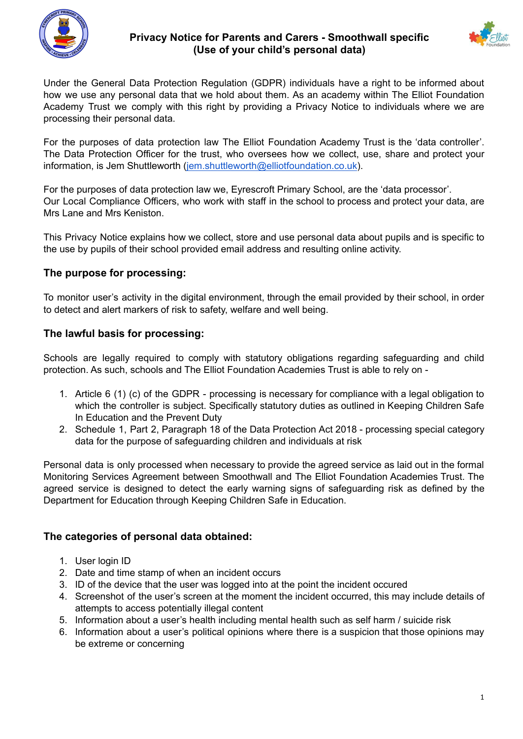

# **Privacy Notice for Parents and Carers - Smoothwall specific (Use of your child's personal data)**



Under the General Data Protection Regulation (GDPR) individuals have a right to be informed about how we use any personal data that we hold about them. As an academy within The Elliot Foundation Academy Trust we comply with this right by providing a Privacy Notice to individuals where we are processing their personal data.

For the purposes of data protection law The Elliot Foundation Academy Trust is the 'data controller'. The Data Protection Officer for the trust, who oversees how we collect, use, share and protect your information, is Jem Shuttleworth ([jem.shuttleworth@elliotfoundation.co.uk](mailto:jem.shuttleworth@elliotfoundation.co.uk)).

For the purposes of data protection law we, Eyrescroft Primary School, are the 'data processor'. Our Local Compliance Officers, who work with staff in the school to process and protect your data, are Mrs Lane and Mrs Keniston.

This Privacy Notice explains how we collect, store and use personal data about pupils and is specific to the use by pupils of their school provided email address and resulting online activity.

# **The purpose for processing:**

To monitor user's activity in the digital environment, through the email provided by their school, in order to detect and alert markers of risk to safety, welfare and well being.

## **The lawful basis for processing:**

Schools are legally required to comply with statutory obligations regarding safeguarding and child protection. As such, schools and The Elliot Foundation Academies Trust is able to rely on -

- 1. Article 6 (1) (c) of the GDPR processing is necessary for compliance with a legal obligation to which the controller is subject. Specifically statutory duties as outlined in Keeping Children Safe In Education and the Prevent Duty
- 2. Schedule 1, Part 2, Paragraph 18 of the Data Protection Act 2018 processing special category data for the purpose of safeguarding children and individuals at risk

Personal data is only processed when necessary to provide the agreed service as laid out in the formal Monitoring Services Agreement between Smoothwall and The Elliot Foundation Academies Trust. The agreed service is designed to detect the early warning signs of safeguarding risk as defined by the Department for Education through Keeping Children Safe in Education.

#### **The categories of personal data obtained:**

- 1. User login ID
- 2. Date and time stamp of when an incident occurs
- 3. ID of the device that the user was logged into at the point the incident occured
- 4. Screenshot of the user's screen at the moment the incident occurred, this may include details of attempts to access potentially illegal content
- 5. Information about a user's health including mental health such as self harm / suicide risk
- 6. Information about a user's political opinions where there is a suspicion that those opinions may be extreme or concerning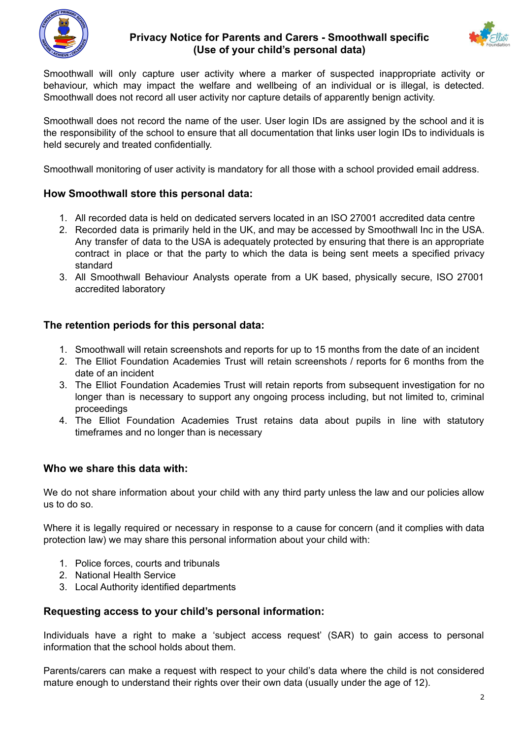

## **Privacy Notice for Parents and Carers - Smoothwall specific (Use of your child's personal data)**



Smoothwall will only capture user activity where a marker of suspected inappropriate activity or behaviour, which may impact the welfare and wellbeing of an individual or is illegal, is detected. Smoothwall does not record all user activity nor capture details of apparently benign activity.

Smoothwall does not record the name of the user. User login IDs are assigned by the school and it is the responsibility of the school to ensure that all documentation that links user login IDs to individuals is held securely and treated confidentially.

Smoothwall monitoring of user activity is mandatory for all those with a school provided email address.

#### **How Smoothwall store this personal data:**

- 1. All recorded data is held on dedicated servers located in an ISO 27001 accredited data centre
- 2. Recorded data is primarily held in the UK, and may be accessed by Smoothwall Inc in the USA. Any transfer of data to the USA is adequately protected by ensuring that there is an appropriate contract in place or that the party to which the data is being sent meets a specified privacy standard
- 3. All Smoothwall Behaviour Analysts operate from a UK based, physically secure, ISO 27001 accredited laboratory

#### **The retention periods for this personal data:**

- 1. Smoothwall will retain screenshots and reports for up to 15 months from the date of an incident
- 2. The Elliot Foundation Academies Trust will retain screenshots / reports for 6 months from the date of an incident
- 3. The Elliot Foundation Academies Trust will retain reports from subsequent investigation for no longer than is necessary to support any ongoing process including, but not limited to, criminal proceedings
- 4. The Elliot Foundation Academies Trust retains data about pupils in line with statutory timeframes and no longer than is necessary

#### **Who we share this data with:**

We do not share information about your child with any third party unless the law and our policies allow us to do so.

Where it is legally required or necessary in response to a cause for concern (and it complies with data protection law) we may share this personal information about your child with:

- 1. Police forces, courts and tribunals
- 2. National Health Service
- 3. Local Authority identified departments

#### **Requesting access to your child's personal information:**

Individuals have a right to make a 'subject access request' (SAR) to gain access to personal information that the school holds about them.

Parents/carers can make a request with respect to your child's data where the child is not considered mature enough to understand their rights over their own data (usually under the age of 12).